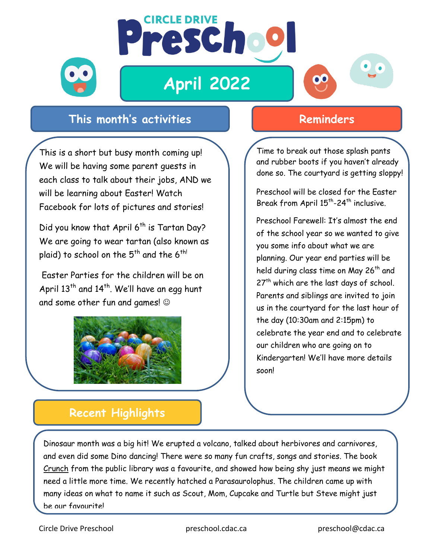

## **April 2022**

**CIRCLE DRIVE** 

Prescho



This is a short but busy month coming up! We will be having some parent guests in each class to talk about their jobs, AND we will be learning about Easter! Watch Facebook for lots of pictures and stories!

Did you know that April  $6^{th}$  is Tartan Day? We are going to wear tartan (also known as plaid) to school on the 5<sup>th</sup> and the 6<sup>th!</sup>

Easter Parties for the children will be on April  $13<sup>th</sup>$  and  $14<sup>th</sup>$ . We'll have an egg hunt and some other fun and games!



## **Reminders**

 $\mathbf{O}$ 

Time to break out those splash pants and rubber boots if you haven't already done so. The courtyard is getting sloppy!

Preschool will be closed for the Easter Break from April 15<sup>th</sup>-24<sup>th</sup> inclusive.

Preschool Farewell: It's almost the end of the school year so we wanted to give you some info about what we are planning. Our year end parties will be held during class time on May 26<sup>th</sup> and 27<sup>th</sup> which are the last days of school. Parents and siblings are invited to join us in the courtyard for the last hour of the day (10:30am and 2:15pm) to celebrate the year end and to celebrate our children who are going on to Kindergarten! We'll have more details soon!

## **Recent Highlights**

Dinosaur month was a big hit! We erupted a volcano, talked about herbivores and carnivores, and even did some Dino dancing! There were so many fun crafts, songs and stories. The book Crunch from the public library was a favourite, and showed how being shy just means we might need a little more time. We recently hatched a Parasaurolophus. The children came up with many ideas on what to name it such as Scout, Mom, Cupcake and Turtle but Steve might just be our favourite!